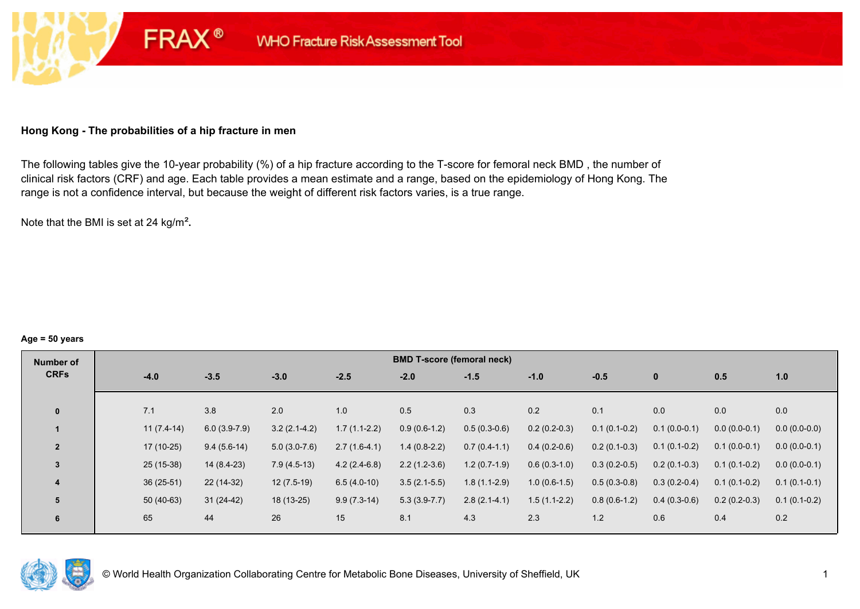# **Hong Kong - The probabilities of a hip fracture in men**

**FRAX®** 

The following tables give the 10-year probability (%) of a hip fracture according to the T-score for femoral neck BMD , the number of clinical risk factors (CRF) and age. Each table provides a mean estimate and a range, based on the epidemiology of Hong Kong. The range is not a confidence interval, but because the weight of different risk factors varies, is a true range.

Note that the BMI is set at 24 kg/m²**.** 

#### **Age = 50 years**

| Number of      |              |        |                |                |                | <b>BMD T-score (femoral neck)</b> |                |                |                |                |                |                |
|----------------|--------------|--------|----------------|----------------|----------------|-----------------------------------|----------------|----------------|----------------|----------------|----------------|----------------|
| <b>CRFs</b>    | $-4.0$       | $-3.5$ |                | $-3.0$         | $-2.5$         | $-2.0$                            | $-1.5$         | $-1.0$         | $-0.5$         | $\mathbf{0}$   | 0.5            | 1.0            |
|                |              |        |                |                |                |                                   |                |                |                |                |                |                |
| $\mathbf{0}$   | 7.1          | 3.8    |                | 2.0            | 1.0            | 0.5                               | 0.3            | 0.2            | 0.1            | 0.0            | 0.0            | 0.0            |
|                | $11(7.4-14)$ |        | $6.0(3.9-7.9)$ | $3.2(2.1-4.2)$ | $1.7(1.1-2.2)$ | $0.9(0.6-1.2)$                    | $0.5(0.3-0.6)$ | $0.2(0.2-0.3)$ | $0.1(0.1-0.2)$ | $0.1(0.0-0.1)$ | $0.0(0.0-0.1)$ | $0.0(0.0-0.0)$ |
| $\overline{2}$ | $17(10-25)$  |        | $9.4(5.6-14)$  | $5.0(3.0-7.6)$ | $2.7(1.6-4.1)$ | $1.4(0.8-2.2)$                    | $0.7(0.4-1.1)$ | $0.4(0.2-0.6)$ | $0.2(0.1-0.3)$ | $0.1(0.1-0.2)$ | $0.1(0.0-0.1)$ | $0.0(0.0-0.1)$ |
| 3              | $25(15-38)$  |        | $14(8.4-23)$   | $7.9(4.5-13)$  | $4.2(2.4-6.8)$ | $2.2(1.2-3.6)$                    | $1.2(0.7-1.9)$ | $0.6(0.3-1.0)$ | $0.3(0.2-0.5)$ | $0.2(0.1-0.3)$ | $0.1(0.1-0.2)$ | $0.0(0.0-0.1)$ |
| 4              | $36(25-51)$  |        | $22(14-32)$    | $12(7.5-19)$   | $6.5(4.0-10)$  | $3.5(2.1-5.5)$                    | $1.8(1.1-2.9)$ | $1.0(0.6-1.5)$ | $0.5(0.3-0.8)$ | $0.3(0.2-0.4)$ | $0.1(0.1-0.2)$ | $0.1(0.1-0.1)$ |
| 5              | $50(40-63)$  |        | $31(24-42)$    | 18 (13-25)     | $9.9(7.3-14)$  | $5.3(3.9-7.7)$                    | $2.8(2.1-4.1)$ | $1.5(1.1-2.2)$ | $0.8(0.6-1.2)$ | $0.4(0.3-0.6)$ | $0.2(0.2-0.3)$ | $0.1(0.1-0.2)$ |
| 6              | 65           | 44     |                | 26             | 15             | 8.1                               | 4.3            | 2.3            | 1.2            | 0.6            | 0.4            | 0.2            |

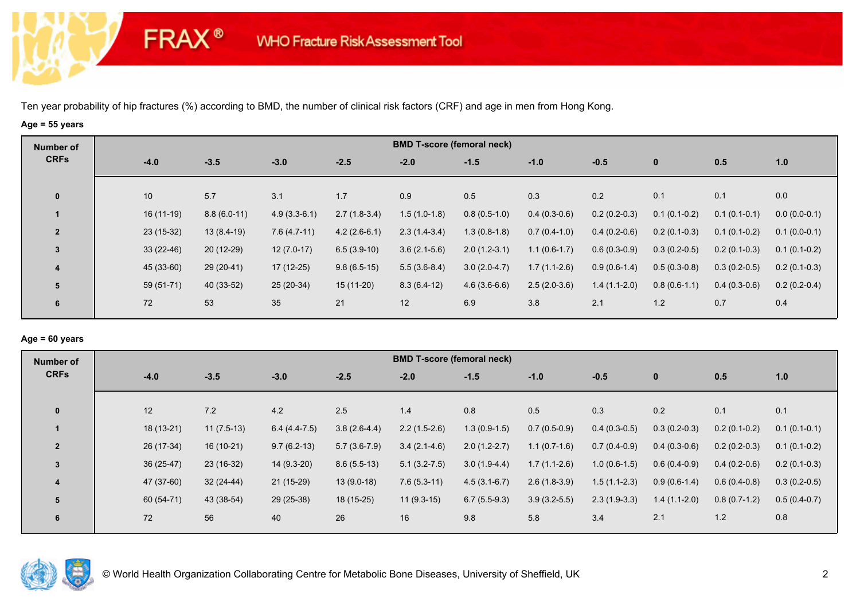**FRAX®** 

# **Age = 55 years**

| Number of      |             |               |                |                |                | <b>BMD T-score (femoral neck)</b> |                |                |                |                |                |
|----------------|-------------|---------------|----------------|----------------|----------------|-----------------------------------|----------------|----------------|----------------|----------------|----------------|
| <b>CRFs</b>    | $-4.0$      | $-3.5$        | $-3.0$         | $-2.5$         | $-2.0$         | $-1.5$                            | $-1.0$         | $-0.5$         | $\mathbf 0$    | 0.5            | 1.0            |
| $\mathbf 0$    | 10          | 5.7           | 3.1            | 1.7            | 0.9            | 0.5                               | 0.3            | 0.2            | 0.1            | 0.1            | 0.0            |
|                | $16(11-19)$ | $8.8(6.0-11)$ | $4.9(3.3-6.1)$ | $2.7(1.8-3.4)$ | $1.5(1.0-1.8)$ | $0.8(0.5-1.0)$                    | $0.4(0.3-0.6)$ | $0.2(0.2-0.3)$ | $0.1(0.1-0.2)$ | $0.1(0.1-0.1)$ | $0.0(0.0-0.1)$ |
| $\overline{2}$ | $23(15-32)$ | $13(8.4-19)$  | $7.6(4.7-11)$  | $4.2(2.6-6.1)$ | $2.3(1.4-3.4)$ | $1.3(0.8-1.8)$                    | $0.7(0.4-1.0)$ | $0.4(0.2-0.6)$ | $0.2(0.1-0.3)$ | $0.1(0.1-0.2)$ | $0.1(0.0-0.1)$ |
| $\mathbf{3}$   | $33(22-46)$ | $20(12-29)$   | $12(7.0-17)$   | $6.5(3.9-10)$  | $3.6(2.1-5.6)$ | $2.0(1.2-3.1)$                    | $1.1(0.6-1.7)$ | $0.6(0.3-0.9)$ | $0.3(0.2-0.5)$ | $0.2(0.1-0.3)$ | $0.1(0.1-0.2)$ |
| 4              | 45 (33-60)  | $29(20-41)$   | $17(12-25)$    | $9.8(6.5-15)$  | $5.5(3.6-8.4)$ | $3.0(2.0-4.7)$                    | $1.7(1.1-2.6)$ | $0.9(0.6-1.4)$ | $0.5(0.3-0.8)$ | $0.3(0.2-0.5)$ | $0.2(0.1-0.3)$ |
| 5              | $59(51-71)$ | 40 (33-52)    | $25(20-34)$    | $15(11-20)$    | $8.3(6.4-12)$  | $4.6(3.6-6.6)$                    | $2.5(2.0-3.6)$ | $1.4(1.1-2.0)$ | $0.8(0.6-1.1)$ | $0.4(0.3-0.6)$ | $0.2(0.2-0.4)$ |
| 6              | 72          | 53            | 35             | 21             | 12             | 6.9                               | 3.8            | 2.1            | $1.2$          | 0.7            | 0.4            |

# **Age = 60 years**

| <b>BMD T-score (femoral neck)</b><br>Number of                                                                                                                           |                                  |
|--------------------------------------------------------------------------------------------------------------------------------------------------------------------------|----------------------------------|
| <b>CRFs</b><br>$-2.5$<br>$-3.5$<br>$-3.0$<br>$-4.0$<br>$-2.0$<br>$-1.5$<br>$-1.0$<br>$-0.5$<br>$\mathbf{0}$                                                              | 0.5<br>1.0                       |
| 12<br>0.2<br>7.2<br>2.5<br>$\mathbf{0}$<br>4.2<br>0.5<br>0.3<br>1.4<br>0.8                                                                                               | 0.1<br>0.1                       |
| 18 (13-21)<br>$1.3(0.9-1.5)$<br>$11(7.5-13)$<br>$6.4(4.4-7.5)$<br>$3.8(2.6-4.4)$<br>$2.2(1.5-2.6)$<br>$0.7(0.5-0.9)$<br>$0.4(0.3-0.5)$<br>$0.3(0.2-0.3)$                 | $0.2(0.1-0.2)$<br>$0.1(0.1-0.1)$ |
| 26 (17-34)<br>$16(10-21)$<br>$9.7(6.2-13)$<br>$5.7(3.6-7.9)$<br>$3.4(2.1-4.6)$<br>$2.0(1.2-2.7)$<br>$1.1(0.7-1.6)$<br>$0.7(0.4-0.9)$<br>$\overline{2}$<br>$0.4(0.3-0.6)$ | $0.2(0.2-0.3)$<br>$0.1(0.1-0.2)$ |
| $36(25-47)$<br>$23(16-32)$<br>$14(9.3-20)$<br>$8.6(5.5-13)$<br>$1.0(0.6-1.5)$<br>$5.1(3.2 - 7.5)$<br>$3.0(1.9-4.4)$<br>$1.7(1.1-2.6)$<br>$0.6(0.4-0.9)$<br>3             | $0.4(0.2-0.6)$<br>$0.2(0.1-0.3)$ |
| 47 (37-60)<br>$32(24-44)$<br>$21(15-29)$<br>$13(9.0-18)$<br>$7.6(5.3-11)$<br>$4.5(3.1-6.7)$<br>$2.6(1.8-3.9)$<br>$1.5(1.1-2.3)$<br>$0.9(0.6-1.4)$<br>4                   | $0.6(0.4-0.8)$<br>$0.3(0.2-0.5)$ |
| 60 (54-71)<br>43 (38-54)<br>29 (25-38)<br>18 (15-25)<br>$11(9.3-15)$<br>$6.7(5.5-9.3)$<br>$3.9(3.2-5.5)$<br>$2.3(1.9-3.3)$<br>$1.4(1.1-2.0)$<br>5                        | $0.8(0.7-1.2)$<br>$0.5(0.4-0.7)$ |
| 72<br>56<br>40<br>26<br>16<br>9.8<br>5.8<br>3.4<br>2.1<br>6                                                                                                              | 1.2<br>0.8                       |

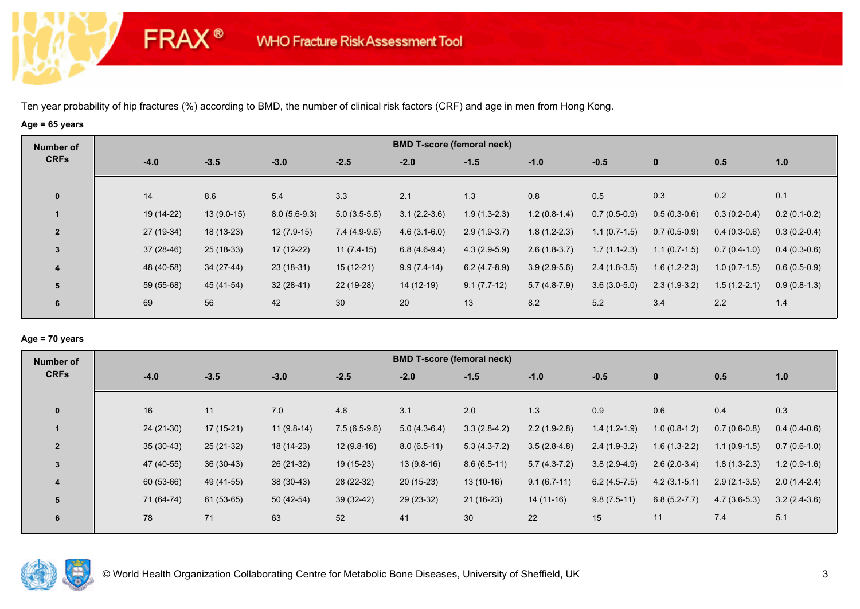**FRAX®** 

# **Age = 65 years**

| Number of      |             |              |                |                | <b>BMD T-score (femoral neck)</b> |                |                |                |                |                |                |
|----------------|-------------|--------------|----------------|----------------|-----------------------------------|----------------|----------------|----------------|----------------|----------------|----------------|
| <b>CRFs</b>    | $-4.0$      | $-3.5$       | $-3.0$         | $-2.5$         | $-2.0$                            | $-1.5$         | $-1.0$         | $-0.5$         | $\mathbf 0$    | 0.5            | 1.0            |
| $\mathbf 0$    | 14          | 8.6          | 5.4            | 3.3            | 2.1                               | 1.3            | 0.8            | 0.5            | 0.3            | 0.2            | 0.1            |
|                | 19 (14-22)  | $13(9.0-15)$ | $8.0(5.6-9.3)$ | $5.0(3.5-5.8)$ | $3.1(2.2-3.6)$                    | $1.9(1.3-2.3)$ | $1.2(0.8-1.4)$ | $0.7(0.5-0.9)$ | $0.5(0.3-0.6)$ | $0.3(0.2-0.4)$ | $0.2(0.1-0.2)$ |
| $\overline{2}$ | 27 (19-34)  | 18 (13-23)   | $12(7.9-15)$   | $7.4(4.9-9.6)$ | $4.6(3.1-6.0)$                    | $2.9(1.9-3.7)$ | $1.8(1.2-2.3)$ | $1.1(0.7-1.5)$ | $0.7(0.5-0.9)$ | $0.4(0.3-0.6)$ | $0.3(0.2-0.4)$ |
| $\overline{3}$ | $37(28-46)$ | 25 (18-33)   | 17 (12-22)     | $11(7.4-15)$   | $6.8(4.6-9.4)$                    | $4.3(2.9-5.9)$ | $2.6(1.8-3.7)$ | $1.7(1.1-2.3)$ | $1.1(0.7-1.5)$ | $0.7(0.4-1.0)$ | $0.4(0.3-0.6)$ |
| 4              | 48 (40-58)  | 34 (27-44)   | $23(18-31)$    | $15(12-21)$    | $9.9(7.4-14)$                     | $6.2(4.7-8.9)$ | $3.9(2.9-5.6)$ | $2.4(1.8-3.5)$ | $1.6(1.2-2.3)$ | $1.0(0.7-1.5)$ | $0.6(0.5-0.9)$ |
| 5              | 59 (55-68)  | 45 (41-54)   | $32(28-41)$    | 22 (19-28)     | $14(12-19)$                       | $9.1(7.7-12)$  | $5.7(4.8-7.9)$ | $3.6(3.0-5.0)$ | $2.3(1.9-3.2)$ | $1.5(1.2-2.1)$ | $0.9(0.8-1.3)$ |
| 6              | 69          | 56           | 42             | 30             | 20                                | 13             | 8.2            | 5.2            | 3.4            | 2.2            | 1.4            |

### **Age = 70 years**

| Number of      |             |             |              |                | <b>BMD T-score (femoral neck)</b> |                |                |                |                  |                |                |
|----------------|-------------|-------------|--------------|----------------|-----------------------------------|----------------|----------------|----------------|------------------|----------------|----------------|
| <b>CRFs</b>    | $-4.0$      | $-3.5$      | $-3.0$       | $-2.5$         | $-2.0$                            | $-1.5$         | $-1.0$         | $-0.5$         | $\mathbf{0}$     | 0.5            | 1.0            |
| $\mathbf{0}$   | 16          | 11          | 7.0          | 4.6            | 3.1                               | 2.0            | 1.3            | 0.9            | 0.6              | 0.4            | 0.3            |
|                |             |             |              |                |                                   |                |                |                |                  |                |                |
|                | 24 (21-30)  | $17(15-21)$ | $11(9.8-14)$ | $7.5(6.5-9.6)$ | $5.0(4.3-6.4)$                    | $3.3(2.8-4.2)$ | $2.2(1.9-2.8)$ | $1.4(1.2-1.9)$ | $1.0(0.8-1.2)$   | $0.7(0.6-0.8)$ | $0.4(0.4-0.6)$ |
| $\overline{2}$ | $35(30-43)$ | $25(21-32)$ | 18 (14-23)   | $12(9.8-16)$   | $8.0(6.5-11)$                     | $5.3(4.3-7.2)$ | $3.5(2.8-4.8)$ | $2.4(1.9-3.2)$ | $1.6(1.3-2.2)$   | $1.1(0.9-1.5)$ | $0.7(0.6-1.0)$ |
| $\overline{3}$ | 47 (40-55)  | $36(30-43)$ | $26(21-32)$  | $19(15-23)$    | $13(9.8-16)$                      | $8.6(6.5-11)$  | $5.7(4.3-7.2)$ | $3.8(2.9-4.9)$ | $2.6(2.0-3.4)$   | $1.8(1.3-2.3)$ | $1.2(0.9-1.6)$ |
| 4              | 60 (53-66)  | 49 (41-55)  | $38(30-43)$  | 28 (22-32)     | $20(15-23)$                       | $13(10-16)$    | $9.1(6.7-11)$  | $6.2(4.5-7.5)$ | $4.2(3.1-5.1)$   | $2.9(2.1-3.5)$ | $2.0(1.4-2.4)$ |
| 5              | 71 (64-74)  | $61(53-65)$ | $50(42-54)$  | $39(32-42)$    | 29 (23-32)                        | 21 (16-23)     | $14(11-16)$    | $9.8(7.5-11)$  | $6.8(5.2 - 7.7)$ | $4.7(3.6-5.3)$ | $3.2(2.4-3.6)$ |
| 6              | 78          | 71          | 63           | 52             | 41                                | 30             | 22             | 15             | 11               | 7.4            | 5.1            |

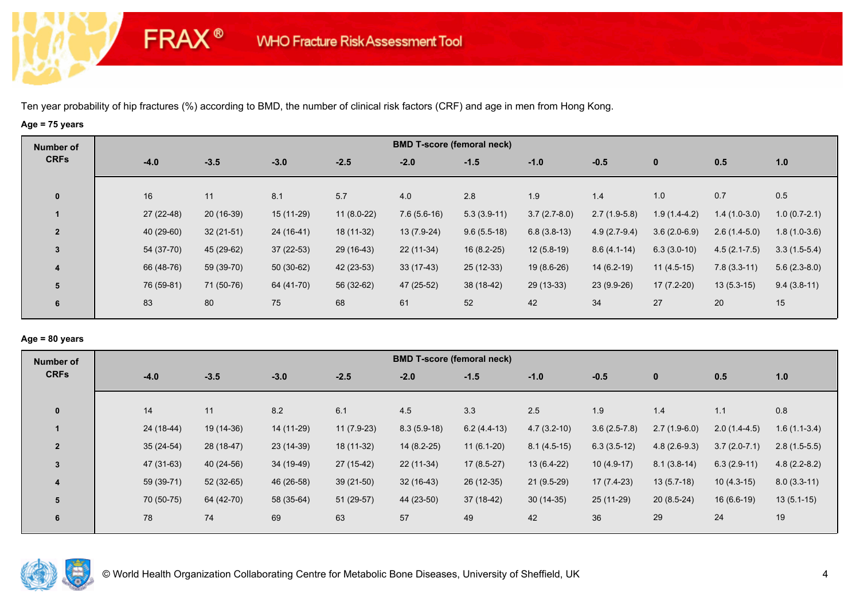**FRAX®** 

# **Age = 75 years**

| Number of      |             |             |             |              |               | <b>BMD T-score (femoral neck)</b> |                |                |                |                  |                |
|----------------|-------------|-------------|-------------|--------------|---------------|-----------------------------------|----------------|----------------|----------------|------------------|----------------|
| <b>CRFs</b>    | $-4.0$      | $-3.5$      | $-3.0$      | $-2.5$       | $-2.0$        | $-1.5$                            | $-1.0$         | $-0.5$         | $\mathbf 0$    | 0.5              | 1.0            |
| $\mathbf 0$    | 16          | 11          | 8.1         | 5.7          | 4.0           | 2.8                               | 1.9            | 1.4            | 1.0            | 0.7              | 0.5            |
|                | $27(22-48)$ | 20 (16-39)  | $15(11-29)$ | $11(8.0-22)$ | $7.6(5.6-16)$ | $5.3(3.9-11)$                     | $3.7(2.7-8.0)$ | $2.7(1.9-5.8)$ | $1.9(1.4-4.2)$ | $1.4(1.0-3.0)$   | $1.0(0.7-2.1)$ |
| $\overline{2}$ | 40 (29-60)  | $32(21-51)$ | 24 (16-41)  | 18 (11-32)   | 13 (7.9-24)   | $9.6(5.5-18)$                     | $6.8(3.8-13)$  | $4.9(2.7-9.4)$ | $3.6(2.0-6.9)$ | $2.6(1.4-5.0)$   | $1.8(1.0-3.6)$ |
| $\overline{3}$ | 54 (37-70)  | 45 (29-62)  | $37(22-53)$ | 29 (16-43)   | $22(11-34)$   | $16(8.2-25)$                      | $12(5.8-19)$   | $8.6(4.1-14)$  | $6.3(3.0-10)$  | $4.5(2.1 - 7.5)$ | $3.3(1.5-5.4)$ |
| 4              | 66 (48-76)  | 59 (39-70)  | $50(30-62)$ | 42 (23-53)   | $33(17-43)$   | $25(12-33)$                       | $19(8.6-26)$   | $14(6.2-19)$   | $11(4.5-15)$   | $7.8(3.3-11)$    | $5.6(2.3-8.0)$ |
| 5              | 76 (59-81)  | 71 (50-76)  | 64 (41-70)  | 56 (32-62)   | 47 (25-52)    | 38 (18-42)                        | 29 (13-33)     | 23 (9.9-26)    | $17(7.2-20)$   | $13(5.3-15)$     | $9.4(3.8-11)$  |
| 6              | 83          | 80          | 75          | 68           | 61            | 52                                | 42             | 34             | 27             | 20               | 15             |

# **Age = 80 years**

| Number of               |             |             |            |              |               | <b>BMD T-score (femoral neck)</b> |               |                |                |                |                |
|-------------------------|-------------|-------------|------------|--------------|---------------|-----------------------------------|---------------|----------------|----------------|----------------|----------------|
| <b>CRFs</b>             | $-4.0$      | $-3.5$      | $-3.0$     | $-2.5$       | $-2.0$        | $-1.5$                            | $-1.0$        | $-0.5$         | $\mathbf{0}$   | 0.5            | 1.0            |
| $\mathbf{0}$            | 14          | 11          | 8.2        | 6.1          | 4.5           | 3.3                               | 2.5           | 1.9            | 1.4            | 1.1            | 0.8            |
|                         | 24 (18-44)  | 19 (14-36)  | 14 (11-29) | $11(7.9-23)$ | $8.3(5.9-18)$ | $6.2(4.4-13)$                     | $4.7(3.2-10)$ | $3.6(2.5-7.8)$ | $2.7(1.9-6.0)$ | $2.0(1.4-4.5)$ | $1.6(1.1-3.4)$ |
| $\overline{2}$          | $35(24-54)$ | 28 (18-47)  | 23 (14-39) | 18 (11-32)   | 14 (8.2-25)   | $11(6.1-20)$                      | $8.1(4.5-15)$ | $6.3(3.5-12)$  | $4.8(2.6-9.3)$ | $3.7(2.0-7.1)$ | $2.8(1.5-5.5)$ |
| 3                       | 47 (31-63)  | 40 (24-56)  | 34 (19-49) | $27(15-42)$  | $22(11-34)$   | $17(8.5-27)$                      | $13(6.4-22)$  | $10(4.9-17)$   | $8.1(3.8-14)$  | $6.3(2.9-11)$  | $4.8(2.2-8.2)$ |
| $\overline{\mathbf{4}}$ | 59 (39-71)  | $52(32-65)$ | 46 (26-58) | $39(21-50)$  | $32(16-43)$   | 26 (12-35)                        | $21(9.5-29)$  | $17(7.4-23)$   | $13(5.7-18)$   | $10(4.3-15)$   | $8.0(3.3-11)$  |
| 5                       | 70 (50-75)  | 64 (42-70)  | 58 (35-64) | $51(29-57)$  | 44 (23-50)    | 37 (18-42)                        | $30(14-35)$   | 25 (11-29)     | $20(8.5-24)$   | $16(6.6-19)$   | $13(5.1-15)$   |
| 6                       | 78          | 74          | 69         | 63           | 57            | 49                                | 42            | 36             | 29             | 24             | 19             |
|                         |             |             |            |              |               |                                   |               |                |                |                |                |